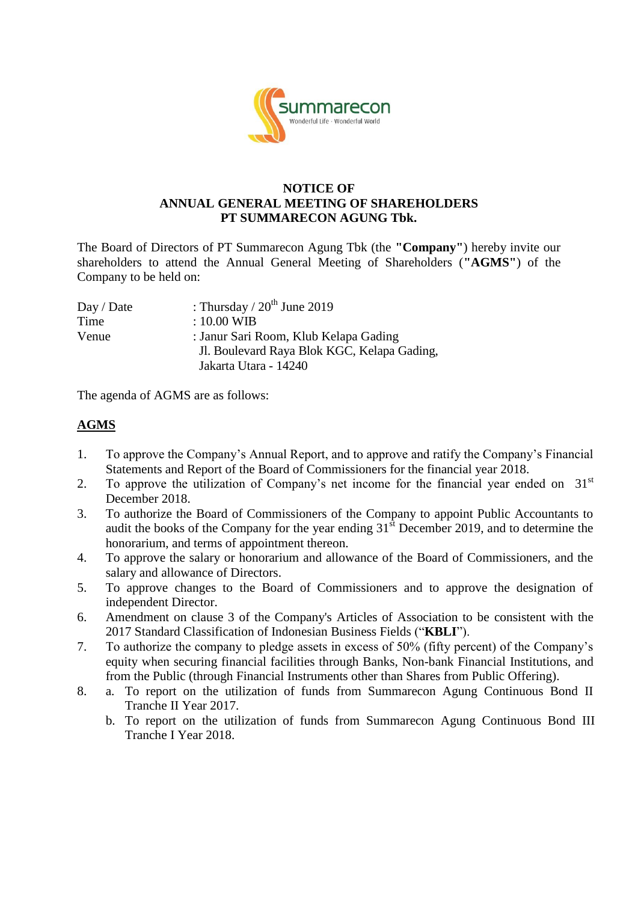

## **NOTICE OF ANNUAL GENERAL MEETING OF SHAREHOLDERS PT SUMMARECON AGUNG Tbk.**

The Board of Directors of PT Summarecon Agung Tbk (the **"Company"**) hereby invite our shareholders to attend the Annual General Meeting of Shareholders (**"AGMS"**) of the Company to be held on:

| : Thursday / $20^{th}$ June 2019            |
|---------------------------------------------|
| $: 10.00 \text{ WIB}$                       |
| : Janur Sari Room, Klub Kelapa Gading       |
| Jl. Boulevard Raya Blok KGC, Kelapa Gading, |
| Jakarta Utara - 14240                       |
|                                             |

The agenda of AGMS are as follows:

## **AGMS**

- 1. To approve the Company's Annual Report, and to approve and ratify the Company's Financial Statements and Report of the Board of Commissioners for the financial year 2018.
- 2. To approve the utilization of Company's net income for the financial year ended on  $31<sup>st</sup>$ December 2018.
- 3. To authorize the Board of Commissioners of the Company to appoint Public Accountants to audit the books of the Company for the year ending  $31<sup>st</sup>$  December 2019, and to determine the honorarium, and terms of appointment thereon.
- 4. To approve the salary or honorarium and allowance of the Board of Commissioners, and the salary and allowance of Directors.
- 5. To approve changes to the Board of Commissioners and to approve the designation of independent Director.
- 6. Amendment on clause 3 of the Company's Articles of Association to be consistent with the 2017 Standard Classification of Indonesian Business Fields ("**KBLI**").
- 7. To authorize the company to pledge assets in excess of 50% (fifty percent) of the Company's equity when securing financial facilities through Banks, Non-bank Financial Institutions, and from the Public (through Financial Instruments other than Shares from Public Offering).
- 8. a. To report on the utilization of funds from Summarecon Agung Continuous Bond II Tranche II Year 2017.
	- b. To report on the utilization of funds from Summarecon Agung Continuous Bond III Tranche I Year 2018.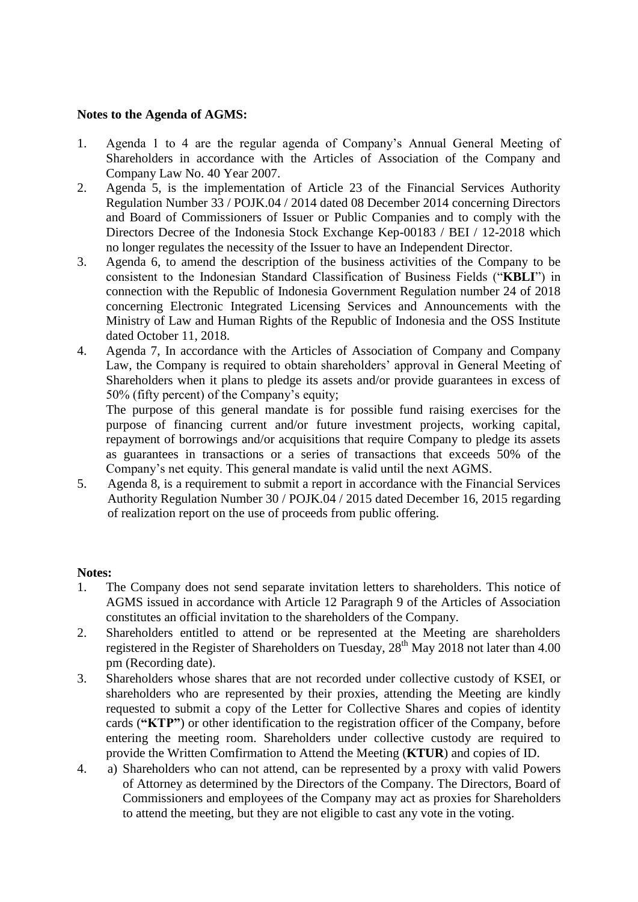## **Notes to the Agenda of AGMS:**

- 1. Agenda 1 to 4 are the regular agenda of Company's Annual General Meeting of Shareholders in accordance with the Articles of Association of the Company and Company Law No. 40 Year 2007.
- 2. Agenda 5, is the implementation of Article 23 of the Financial Services Authority Regulation Number 33 / POJK.04 / 2014 dated 08 December 2014 concerning Directors and Board of Commissioners of Issuer or Public Companies and to comply with the Directors Decree of the Indonesia Stock Exchange Kep-00183 / BEI / 12-2018 which no longer regulates the necessity of the Issuer to have an Independent Director.
- 3. Agenda 6, to amend the description of the business activities of the Company to be consistent to the Indonesian Standard Classification of Business Fields ("**KBLI**") in connection with the Republic of Indonesia Government Regulation number 24 of 2018 concerning Electronic Integrated Licensing Services and Announcements with the Ministry of Law and Human Rights of the Republic of Indonesia and the OSS Institute dated October 11, 2018.
- 4. Agenda 7, In accordance with the Articles of Association of Company and Company Law, the Company is required to obtain shareholders' approval in General Meeting of Shareholders when it plans to pledge its assets and/or provide guarantees in excess of 50% (fifty percent) of the Company's equity;

The purpose of this general mandate is for possible fund raising exercises for the purpose of financing current and/or future investment projects, working capital, repayment of borrowings and/or acquisitions that require Company to pledge its assets as guarantees in transactions or a series of transactions that exceeds 50% of the Company's net equity. This general mandate is valid until the next AGMS.

5. Agenda 8, is a requirement to submit a report in accordance with the Financial Services Authority Regulation Number 30 / POJK.04 / 2015 dated December 16, 2015 regarding of realization report on the use of proceeds from public offering.

## **Notes:**

- 1. The Company does not send separate invitation letters to shareholders. This notice of AGMS issued in accordance with Article 12 Paragraph 9 of the Articles of Association constitutes an official invitation to the shareholders of the Company.
- 2. Shareholders entitled to attend or be represented at the Meeting are shareholders registered in the Register of Shareholders on Tuesday,  $28^{th}$  May 2018 not later than 4.00 pm (Recording date).
- 3. Shareholders whose shares that are not recorded under collective custody of KSEI, or shareholders who are represented by their proxies, attending the Meeting are kindly requested to submit a copy of the Letter for Collective Shares and copies of identity cards (**"KTP"**) or other identification to the registration officer of the Company, before entering the meeting room. Shareholders under collective custody are required to provide the Written Comfirmation to Attend the Meeting (**KTUR**) and copies of ID.
- 4. a) Shareholders who can not attend, can be represented by a proxy with valid Powers of Attorney as determined by the Directors of the Company. The Directors, Board of Commissioners and employees of the Company may act as proxies for Shareholders to attend the meeting, but they are not eligible to cast any vote in the voting.